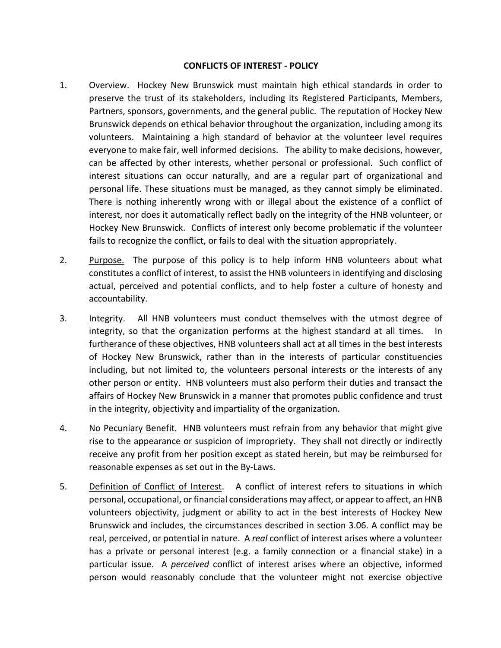## **CONFLICTS OF INTEREST - POLICY**

- 1. Overview. Hockey New Brunswick must maintain high ethical standards in order to preserve the trust of its stakeholders, including its Registered Participants, Members, Partners, sponsors, governments, and the general public. The reputation of Hockey New Brunswick depends on ethical behavior throughout the organization, including among its volunteers. Maintaining a high standard of behavior at the volunteer level requires everyone to make fair, well informed decisions. The ability to make decisions, however, can be affected by other interests, whether personal or professional. Such conflict of interest situations can occur naturally, and are a regular part of organizational and personal life. These situations must be managed, as they cannot simply be eliminated. There is nothing inherently wrong with or illegal about the existence of a conflict of interest, nor does it automatically reflect badly on the integrity of the HNB volunteer, or Hockey New Brunswick. Conflicts of interest only become problematic if the volunteer fails to recognize the conflict, or fails to deal with the situation appropriately.
- 2. Purpose. The purpose of this policy is to help inform HNB volunteers about what constitutes a conflict of interest, to assist the HNB volunteers in identifying and disclosing actual, perceived and potential conflicts, and to help foster a culture of honesty and accountability.
- 3. Integrity. All HNB volunteers must conduct themselves with the utmost degree of integrity, so that the organization performs at the highest standard at all times. In furtherance of these objectives, HNB volunteers shall act at all times in the best interests of Hockey New Brunswick, rather than in the interests of particular constituencies including, but not limited to, the volunteers personal interests or the interests of any other person or entity. HNB volunteers must also perform their duties and transact the affairs of Hockey New Brunswick in a manner that promotes public confidence and trust in the integrity, objectivity and impartiality of the organization.
- 4. No Pecuniary Benefit. HNB volunteers must refrain from any behavior that might give rise to the appearance or suspicion of impropriety. They shall not directly or indirectly receive any profit from her position except as stated herein, but may be reimbursed for reasonable expenses as set out in the By-Laws.
- 5. Definition of Conflict of Interest. A conflict of interest refers to situations in which personal, occupational, or financial considerations may affect, or appear to affect, an HNB volunteers objectivity, judgment or ability to act in the best interests of Hockey New Brunswick and includes, the circumstances described in section 3.06. A conflict may be real, perceived, or potential in nature. A *real* conflict of interest arises where a volunteer has a private or personal interest (e.g. a family connection or a financial stake) in a particular issue. A *perceived* conflict of interest arises where an objective, informed person would reasonably conclude that the volunteer might not exercise objective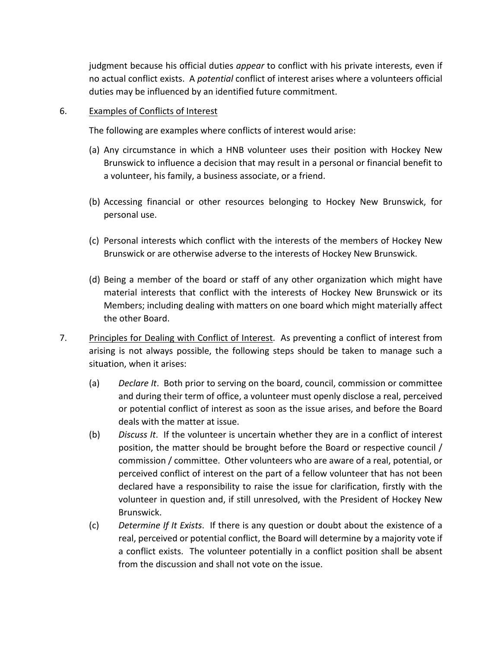judgment because his official duties *appear* to conflict with his private interests, even if no actual conflict exists. A *potential* conflict of interest arises where a volunteers official duties may be influenced by an identified future commitment.

## 6. Examples of Conflicts of Interest

The following are examples where conflicts of interest would arise:

- (a) Any circumstance in which a HNB volunteer uses their position with Hockey New Brunswick to influence a decision that may result in a personal or financial benefit to a volunteer, his family, a business associate, or a friend.
- (b) Accessing financial or other resources belonging to Hockey New Brunswick, for personal use.
- (c) Personal interests which conflict with the interests of the members of Hockey New Brunswick or are otherwise adverse to the interests of Hockey New Brunswick.
- (d) Being a member of the board or staff of any other organization which might have material interests that conflict with the interests of Hockey New Brunswick or its Members; including dealing with matters on one board which might materially affect the other Board.
- 7. Principles for Dealing with Conflict of Interest. As preventing a conflict of interest from arising is not always possible, the following steps should be taken to manage such a situation, when it arises:
	- (a) *Declare It*. Both prior to serving on the board, council, commission or committee and during their term of office, a volunteer must openly disclose a real, perceived or potential conflict of interest as soon as the issue arises, and before the Board deals with the matter at issue.
	- (b) *Discuss It*. If the volunteer is uncertain whether they are in a conflict of interest position, the matter should be brought before the Board or respective council / commission / committee. Other volunteers who are aware of a real, potential, or perceived conflict of interest on the part of a fellow volunteer that has not been declared have a responsibility to raise the issue for clarification, firstly with the volunteer in question and, if still unresolved, with the President of Hockey New Brunswick.
	- (c) *Determine If It Exists*. If there is any question or doubt about the existence of a real, perceived or potential conflict, the Board will determine by a majority vote if a conflict exists. The volunteer potentially in a conflict position shall be absent from the discussion and shall not vote on the issue.